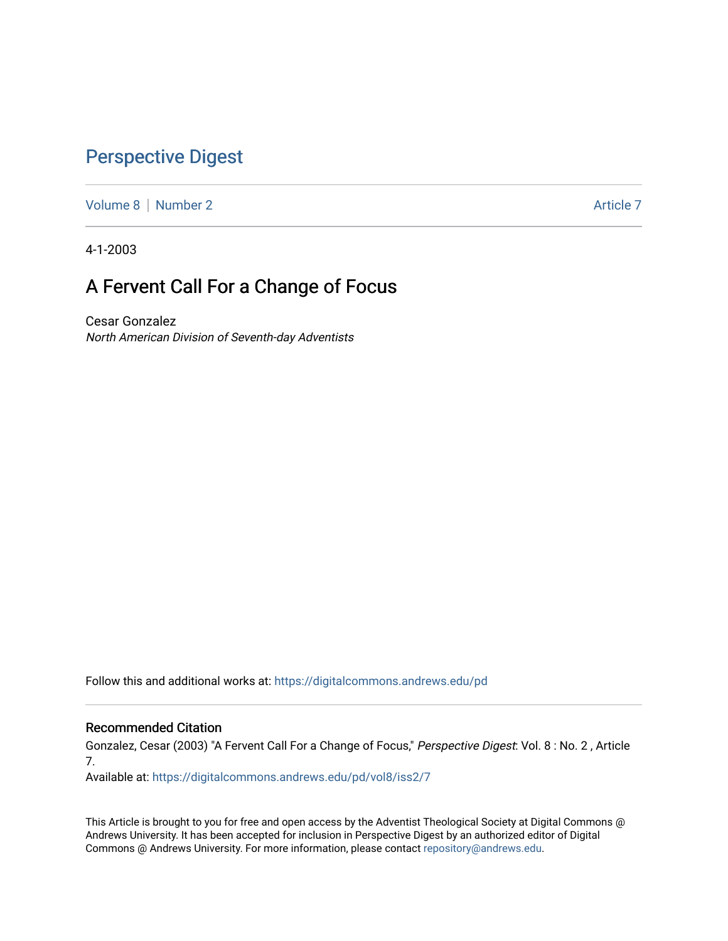## [Perspective Digest](https://digitalcommons.andrews.edu/pd)

[Volume 8](https://digitalcommons.andrews.edu/pd/vol8) | [Number 2](https://digitalcommons.andrews.edu/pd/vol8/iss2) Article 7

4-1-2003

# A Fervent Call For a Change of Focus

Cesar Gonzalez North American Division of Seventh-day Adventists

Follow this and additional works at: [https://digitalcommons.andrews.edu/pd](https://digitalcommons.andrews.edu/pd?utm_source=digitalcommons.andrews.edu%2Fpd%2Fvol8%2Fiss2%2F7&utm_medium=PDF&utm_campaign=PDFCoverPages)

## Recommended Citation

Gonzalez, Cesar (2003) "A Fervent Call For a Change of Focus," Perspective Digest: Vol. 8 : No. 2 , Article 7.

Available at: [https://digitalcommons.andrews.edu/pd/vol8/iss2/7](https://digitalcommons.andrews.edu/pd/vol8/iss2/7?utm_source=digitalcommons.andrews.edu%2Fpd%2Fvol8%2Fiss2%2F7&utm_medium=PDF&utm_campaign=PDFCoverPages)

This Article is brought to you for free and open access by the Adventist Theological Society at Digital Commons @ Andrews University. It has been accepted for inclusion in Perspective Digest by an authorized editor of Digital Commons @ Andrews University. For more information, please contact [repository@andrews.edu.](mailto:repository@andrews.edu)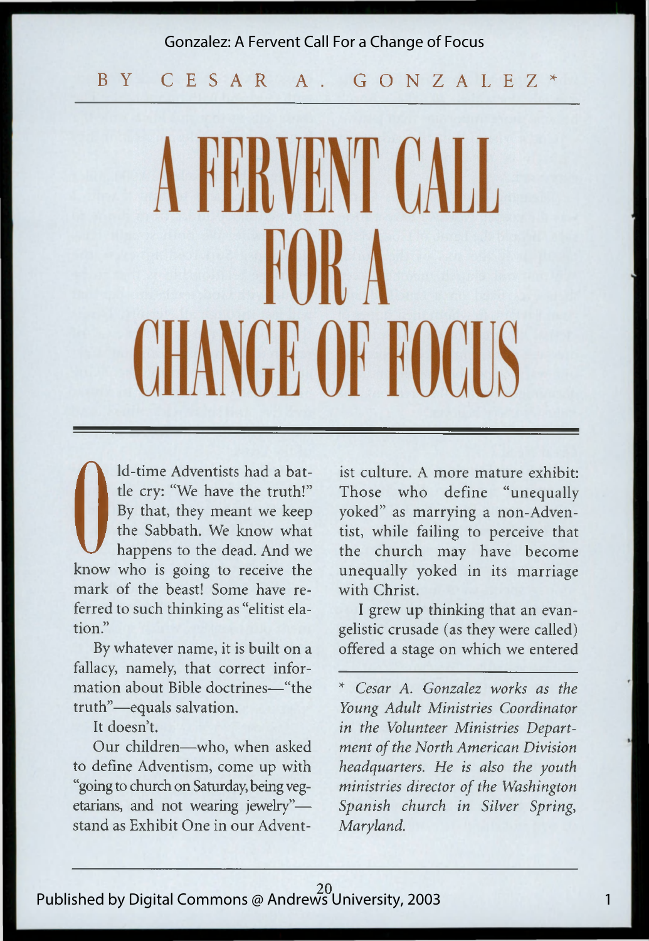#### Gonzalez: A Fervent Call For a Change of Focus

BY C E S A R A. G O N Z A L E Z \*

# **FERVENT CALL** CHANGE OF FOCUS

**O**ld-time Adventists had a bat-<br>the cry: "We have the truth!" The<br>By that, they meant we keep yol<br>the Sabbath. We know what tist<br>happens to the dead. And we the<br>know who is going to receive the unit tle cry: "We have the truth!" By that, they meant we keep the Sabbath. We know what happens to the dead. And we mark of the beast! Some have referred to such thinking as "elitist elation."

By whatever name, it is built on a fallacy, namely, that correct information about Bible doctrines—"the truth"—equals salvation.

It doesn't.

Our children—who, when asked to define Adventism, come up with "going to church on Saturday, being vegetarians, and not wearing jewelry" stand as Exhibit One in our Adventist culture. A more mature exhibit: Those who define "unequally yoked" as marrying a non-Adventist, while failing to perceive that the church may have become unequally yoked in its marriage with Christ.

I grew up thinking that an evangelistic crusade (as they were called) offered a stage on which we entered

\* *Cesar A. Gonzalez works as the Young Adult Ministries Coordinator in the Volunteer Ministries Department of the North American Division headquarters. He is also the youth ministries director of the Washington Spanish church in Silver Spring, Maryland.*